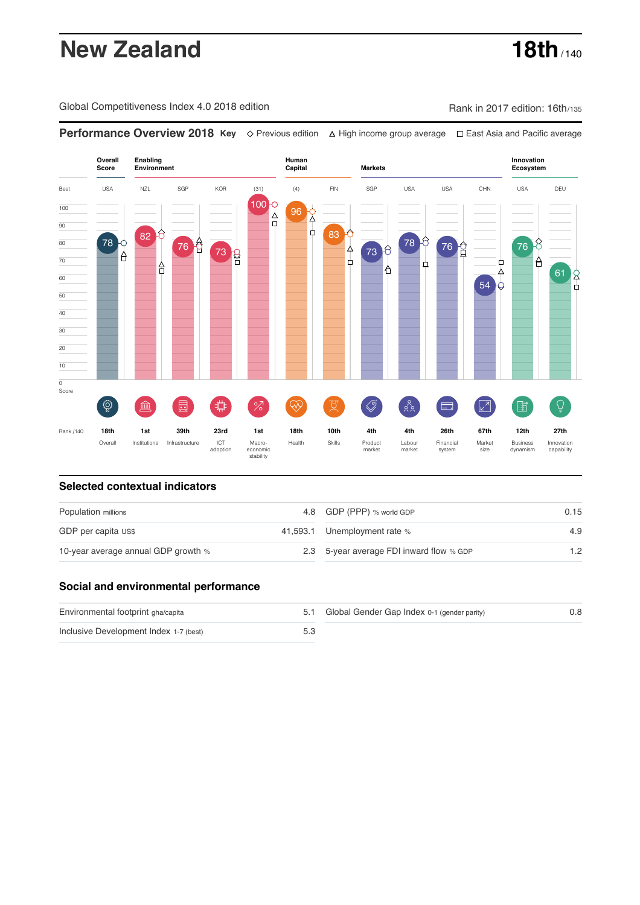# **New Zealand 18th** / 140

Global Competitiveness Index 4.0 2018 edition Company Rank in 2017 edition: 16th/135

**Performance Overview 2018 Key** Previous edition High income group average East Asia and Pacific average



### **Selected contextual indicators**

| Population millions                 |  | 4.8 GDP (PPP) % world GDP                | 0.15 |  |
|-------------------------------------|--|------------------------------------------|------|--|
| GDP per capita US\$                 |  | 41,593.1 Unemployment rate %             | 4.9  |  |
| 10-year average annual GDP growth % |  | 2.3 5-year average FDI inward flow % GDP | 1.2  |  |

### **Social and environmental performance**

| Environmental footprint gha/capita     | 5.1 Global Gender Gap Index 0-1 (gender parity) | 0.8 |
|----------------------------------------|-------------------------------------------------|-----|
| Inclusive Development Index 1-7 (best) |                                                 |     |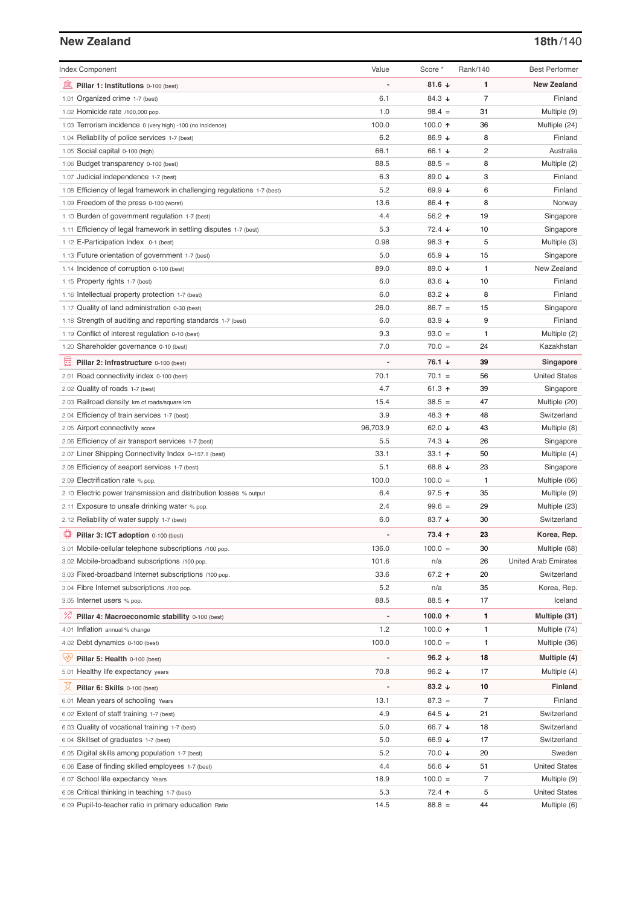## **New Zealand 18th**/140

| <b>Index Component</b>                                                   | Value    | Score *              | Rank/140       | <b>Best Performer</b>       |
|--------------------------------------------------------------------------|----------|----------------------|----------------|-----------------------------|
| 逦<br>Pillar 1: Institutions 0-100 (best)                                 |          | 81.6 $\sqrt{ }$      | 1              | <b>New Zealand</b>          |
| 1.01 Organized crime 1-7 (best)                                          | 6.1      | 84.3 ↓               | $\overline{7}$ | Finland                     |
| 1.02 Homicide rate /100,000 pop.                                         | 1.0      | $98.4 =$             | 31             | Multiple (9)                |
| 1.03 Terrorism incidence 0 (very high) -100 (no incidence)               | 100.0    | 100.0 ↑              | 36             | Multiple (24)               |
| 1.04 Reliability of police services 1-7 (best)                           | 6.2      | 86.9 ↓               | 8              | Finland                     |
| 1.05 Social capital 0-100 (high)                                         | 66.1     | 66.1 ↓               | 2              | Australia                   |
| 1.06 Budget transparency 0-100 (best)                                    | 88.5     | $88.5 =$             | 8              | Multiple (2)                |
| 1.07 Judicial independence 1-7 (best)                                    | 6.3      | 89.0 ↓               | 3              | Finland                     |
| 1.08 Efficiency of legal framework in challenging regulations 1-7 (best) | 5.2      | 69.9 $\sqrt{ }$      | 6              | Finland                     |
| 1.09 Freedom of the press 0-100 (worst)                                  | 13.6     | 86.4 ↑               | 8              | Norway                      |
| 1.10 Burden of government regulation 1-7 (best)                          | 4.4      | $56.2$ ↑             | 19             | Singapore                   |
| 1.11 Efficiency of legal framework in settling disputes 1-7 (best)       | 5.3      | $72.4 \; \downarrow$ | 10             | Singapore                   |
| 1.12 E-Participation Index 0-1 (best)                                    | 0.98     | $98.3$ 1             | 5              | Multiple (3)                |
| 1.13 Future orientation of government 1-7 (best)                         | 5.0      | 65.9 $\sqrt{ }$      | 15             | Singapore                   |
| 1.14 Incidence of corruption 0-100 (best)                                | 89.0     | 89.0 ↓               | $\mathbf{1}$   | New Zealand                 |
| 1.15 Property rights 1-7 (best)                                          | 6.0      | 83.6 $\sqrt{ }$      | 10             | Finland                     |
| 1.16 Intellectual property protection 1-7 (best)                         | 6.0      | 83.2 $\sqrt{ }$      | 8              | Finland                     |
| 1.17 Quality of land administration 0-30 (best)                          | 26.0     | $86.7 =$             | 15             | Singapore                   |
| 1.18 Strength of auditing and reporting standards 1-7 (best)             | 6.0      | 83.9 $\sqrt{ }$      | 9              | Finland                     |
| 1.19 Conflict of interest regulation 0-10 (best)                         | 9.3      | $93.0 =$             | $\mathbf{1}$   | Multiple (2)                |
| 1.20 Shareholder governance 0-10 (best)                                  | 7.0      | $70.0 =$             | 24             | Kazakhstan                  |
|                                                                          |          |                      |                |                             |
| 員<br>Pillar 2: Infrastructure 0-100 (best)                               |          | 76.1 ↓               | 39             | Singapore                   |
| 2.01 Road connectivity index 0-100 (best)                                | 70.1     | $70.1 =$             | 56             | <b>United States</b>        |
| 2.02 Quality of roads 1-7 (best)                                         | 4.7      | 61.3 $\uparrow$      | 39             | Singapore                   |
| 2.03 Railroad density km of roads/square km                              | 15.4     | $38.5 =$             | 47             | Multiple (20)               |
| 2.04 Efficiency of train services 1-7 (best)                             | 3.9      | 48.3 ↑               | 48             | Switzerland                 |
| 2.05 Airport connectivity score                                          | 96,703.9 | 62.0 $\sqrt{ }$      | 43             | Multiple (8)                |
| 2.06 Efficiency of air transport services 1-7 (best)                     | 5.5      | 74.3 ↓               | 26             | Singapore                   |
| 2.07 Liner Shipping Connectivity Index 0-157.1 (best)                    | 33.1     | 33.1 ተ               | 50             | Multiple (4)                |
| 2.08 Efficiency of seaport services 1-7 (best)                           | 5.1      | 68.8 $\sqrt{ }$      | 23             | Singapore                   |
| 2.09 Electrification rate % pop.                                         | 100.0    | $100.0 =$            | 1              | Multiple (66)               |
| 2.10 Electric power transmission and distribution losses % output        | 6.4      | $97.5$ ↑             | 35             | Multiple (9)                |
| 2.11 Exposure to unsafe drinking water % pop.                            | 2.4      | $99.6 =$             | 29             | Multiple (23)               |
| 2.12 Reliability of water supply 1-7 (best)                              | 6.0      | 83.7 $\downarrow$    | 30             | Switzerland                 |
| ₽<br>Pillar 3: ICT adoption 0-100 (best)                                 |          | 73.4 ↑               | 23             | Korea, Rep.                 |
| 3.01 Mobile-cellular telephone subscriptions /100 pop.                   | 136.0    | $100.0 =$            | 30             | Multiple (68)               |
| 3.02 Mobile-broadband subscriptions /100 pop.                            | 101.6    | n/a                  | 26             | <b>United Arab Emirates</b> |
| 3.03 Fixed-broadband Internet subscriptions /100 pop.                    | 33.6     | 67.2 ↑               | 20             | Switzerland                 |
| 3.04 Fibre Internet subscriptions /100 pop.                              | 5.2      | n/a                  | 35             | Korea, Rep.                 |
| 3.05 Internet users % pop.                                               | 88.5     | 88.5 ↑               | 17             | Iceland                     |
| <sup>%</sup> Pillar 4: Macroeconomic stability 0-100 (best)              |          | 100.0 个              | 1              | Multiple (31)               |
| 4.01 Inflation annual % change                                           | 1.2      | 100.0 $\uparrow$     | 1              | Multiple (74)               |
| 4.02 Debt dynamics 0-100 (best)                                          | 100.0    | $100.0 =$            | 1              | Multiple (36)               |
|                                                                          |          |                      |                |                             |
| Ğ,<br>Pillar 5: Health 0-100 (best)                                      |          | 96.2 $\downarrow$    | 18             | Multiple (4)                |
| 5.01 Healthy life expectancy years                                       | 70.8     | 96.2 $\sqrt{ }$      | 17             | Multiple (4)                |
| 성<br>Pillar 6: Skills 0-100 (best)                                       |          | 83.2 $\sqrt{ }$      | 10             | <b>Finland</b>              |
| 6.01 Mean years of schooling Years                                       | 13.1     | $87.3 =$             | 7              | Finland                     |
| 6.02 Extent of staff training 1-7 (best)                                 | 4.9      | 64.5 $\sqrt{ }$      | 21             | Switzerland                 |
| 6.03 Quality of vocational training 1-7 (best)                           | 5.0      | 66.7 ↓               | 18             | Switzerland                 |
| 6.04 Skillset of graduates 1-7 (best)                                    | 5.0      | 66.9 ↓               | 17             | Switzerland                 |
| 6.05 Digital skills among population 1-7 (best)                          | 5.2      | 70.0 ↓               | 20             | Sweden                      |
| 6.06 Ease of finding skilled employees 1-7 (best)                        | 4.4      | 56.6 ↓               | 51             | <b>United States</b>        |
| 6.07 School life expectancy Years                                        | 18.9     | $100.0 =$            | 7              | Multiple (9)                |
| 6.08 Critical thinking in teaching 1-7 (best)                            | 5.3      | 72.4 ↑               | 5              | <b>United States</b>        |
| 6.09 Pupil-to-teacher ratio in primary education Ratio                   | 14.5     | $88.8 =$             | 44             | Multiple (6)                |